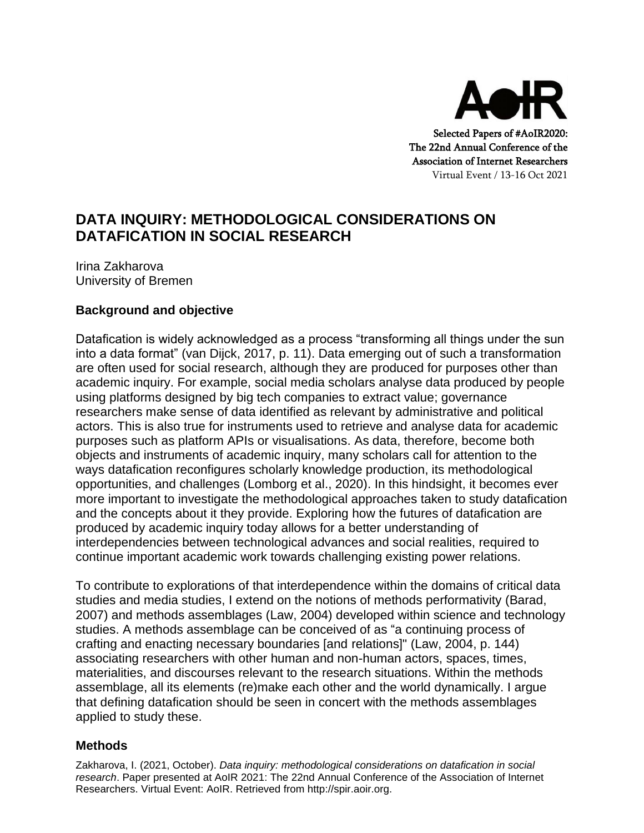

# **DATA INQUIRY: METHODOLOGICAL CONSIDERATIONS ON DATAFICATION IN SOCIAL RESEARCH**

Irina Zakharova University of Bremen

## **Background and objective**

Datafication is widely acknowledged as a process "transforming all things under the sun into a data format" (van Dijck, 2017, p. 11). Data emerging out of such a transformation are often used for social research, although they are produced for purposes other than academic inquiry. For example, social media scholars analyse data produced by people using platforms designed by big tech companies to extract value; governance researchers make sense of data identified as relevant by administrative and political actors. This is also true for instruments used to retrieve and analyse data for academic purposes such as platform APIs or visualisations. As data, therefore, become both objects and instruments of academic inquiry, many scholars call for attention to the ways datafication reconfigures scholarly knowledge production, its methodological opportunities, and challenges (Lomborg et al., 2020). In this hindsight, it becomes ever more important to investigate the methodological approaches taken to study datafication and the concepts about it they provide. Exploring how the futures of datafication are produced by academic inquiry today allows for a better understanding of interdependencies between technological advances and social realities, required to continue important academic work towards challenging existing power relations.

To contribute to explorations of that interdependence within the domains of critical data studies and media studies, I extend on the notions of methods performativity (Barad, 2007) and methods assemblages (Law, 2004) developed within science and technology studies. A methods assemblage can be conceived of as "a continuing process of crafting and enacting necessary boundaries [and relations]" (Law, 2004, p. 144) associating researchers with other human and non-human actors, spaces, times, materialities, and discourses relevant to the research situations. Within the methods assemblage, all its elements (re)make each other and the world dynamically. I argue that defining datafication should be seen in concert with the methods assemblages applied to study these.

### **Methods**

Zakharova, I. (2021, October). *Data inquiry: methodological considerations on datafication in social research*. Paper presented at AoIR 2021: The 22nd Annual Conference of the Association of Internet Researchers. Virtual Event: AoIR. Retrieved from http://spir.aoir.org.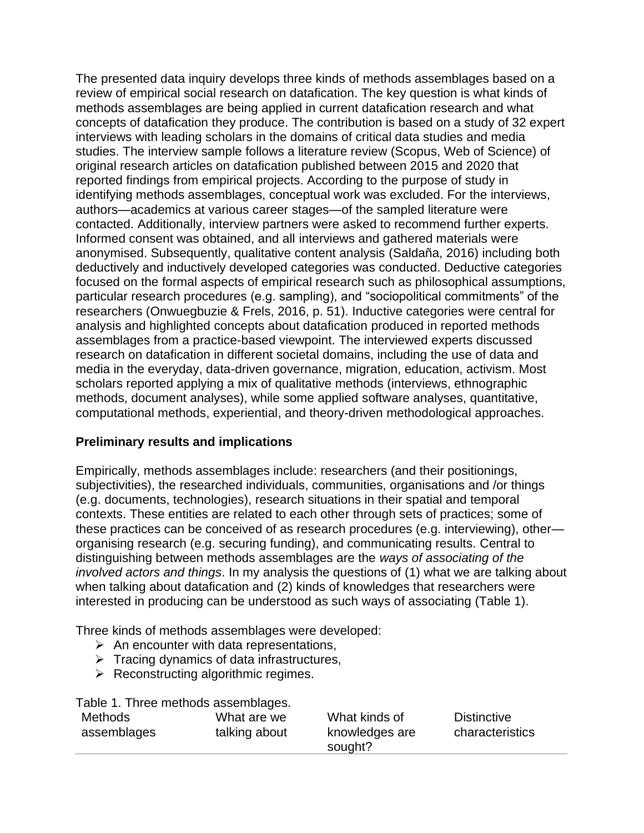The presented data inquiry develops three kinds of methods assemblages based on a review of empirical social research on datafication. The key question is what kinds of methods assemblages are being applied in current datafication research and what concepts of datafication they produce. The contribution is based on a study of 32 expert interviews with leading scholars in the domains of critical data studies and media studies. The interview sample follows a literature review (Scopus, Web of Science) of original research articles on datafication published between 2015 and 2020 that reported findings from empirical projects. According to the purpose of study in identifying methods assemblages, conceptual work was excluded. For the interviews, authors—academics at various career stages—of the sampled literature were contacted. Additionally, interview partners were asked to recommend further experts. Informed consent was obtained, and all interviews and gathered materials were anonymised. Subsequently, qualitative content analysis (Saldaña, 2016) including both deductively and inductively developed categories was conducted. Deductive categories focused on the formal aspects of empirical research such as philosophical assumptions, particular research procedures (e.g. sampling), and "sociopolitical commitments" of the researchers (Onwuegbuzie & Frels, 2016, p. 51). Inductive categories were central for analysis and highlighted concepts about datafication produced in reported methods assemblages from a practice-based viewpoint. The interviewed experts discussed research on datafication in different societal domains, including the use of data and media in the everyday, data-driven governance, migration, education, activism. Most scholars reported applying a mix of qualitative methods (interviews, ethnographic methods, document analyses), while some applied software analyses, quantitative, computational methods, experiential, and theory-driven methodological approaches.

### **Preliminary results and implications**

Empirically, methods assemblages include: researchers (and their positionings, subjectivities), the researched individuals, communities, organisations and /or things (e.g. documents, technologies), research situations in their spatial and temporal contexts. These entities are related to each other through sets of practices; some of these practices can be conceived of as research procedures (e.g. interviewing), other organising research (e.g. securing funding), and communicating results. Central to distinguishing between methods assemblages are the *ways of associating of the involved actors and things*. In my analysis the questions of (1) what we are talking about when talking about datafication and (2) kinds of knowledges that researchers were interested in producing can be understood as such ways of associating (Table 1).

Three kinds of methods assemblages were developed:

- $\triangleright$  An encounter with data representations,
- $\triangleright$  Tracing dynamics of data infrastructures,
- $\triangleright$  Reconstructing algorithmic regimes.

Table 1. Three methods assemblages.

| Methods     | What are we   | What kinds of  | <b>Distinctive</b> |
|-------------|---------------|----------------|--------------------|
| assemblages | talking about | knowledges are | characteristics    |
|             |               | sought?        |                    |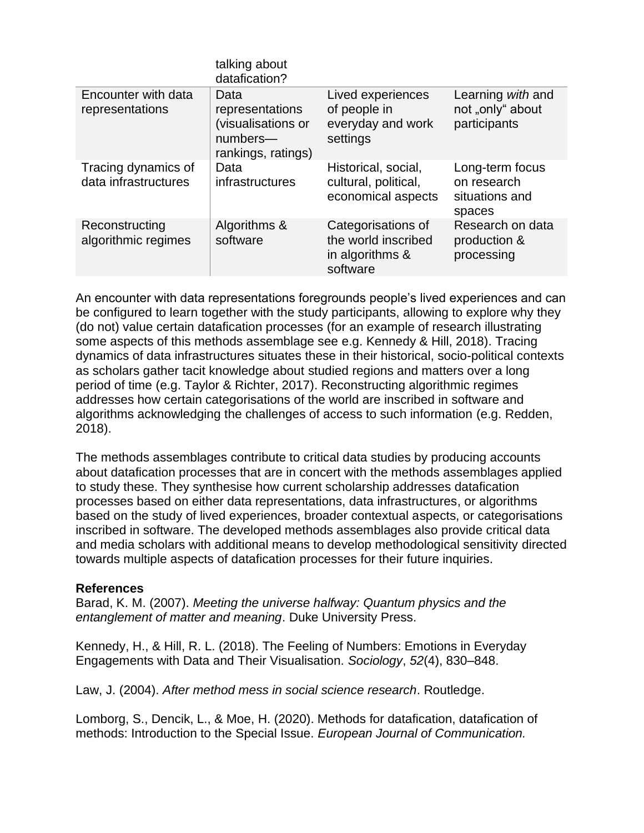|                                             | talking about<br>datafication?                                                  |                                                                          |                                                            |
|---------------------------------------------|---------------------------------------------------------------------------------|--------------------------------------------------------------------------|------------------------------------------------------------|
| Encounter with data<br>representations      | Data<br>representations<br>(visualisations or<br>numbers-<br>rankings, ratings) | Lived experiences<br>of people in<br>everyday and work<br>settings       | Learning with and<br>not "only" about<br>participants      |
| Tracing dynamics of<br>data infrastructures | Data<br>infrastructures                                                         | Historical, social,<br>cultural, political,<br>economical aspects        | Long-term focus<br>on research<br>situations and<br>spaces |
| Reconstructing<br>algorithmic regimes       | Algorithms &<br>software                                                        | Categorisations of<br>the world inscribed<br>in algorithms &<br>software | Research on data<br>production &<br>processing             |

An encounter with data representations foregrounds people's lived experiences and can be configured to learn together with the study participants, allowing to explore why they (do not) value certain datafication processes (for an example of research illustrating some aspects of this methods assemblage see e.g. Kennedy & Hill, 2018). Tracing dynamics of data infrastructures situates these in their historical, socio-political contexts as scholars gather tacit knowledge about studied regions and matters over a long period of time (e.g. Taylor & Richter, 2017). Reconstructing algorithmic regimes addresses how certain categorisations of the world are inscribed in software and algorithms acknowledging the challenges of access to such information (e.g. Redden, 2018).

The methods assemblages contribute to critical data studies by producing accounts about datafication processes that are in concert with the methods assemblages applied to study these. They synthesise how current scholarship addresses datafication processes based on either data representations, data infrastructures, or algorithms based on the study of lived experiences, broader contextual aspects, or categorisations inscribed in software. The developed methods assemblages also provide critical data and media scholars with additional means to develop methodological sensitivity directed towards multiple aspects of datafication processes for their future inquiries.

### **References**

Barad, K. M. (2007). *Meeting the universe halfway: Quantum physics and the entanglement of matter and meaning*. Duke University Press.

Kennedy, H., & Hill, R. L. (2018). The Feeling of Numbers: Emotions in Everyday Engagements with Data and Their Visualisation. *Sociology*, *52*(4), 830–848.

Law, J. (2004). *After method mess in social science research*. Routledge.

Lomborg, S., Dencik, L., & Moe, H. (2020). Methods for datafication, datafication of methods: Introduction to the Special Issue. *European Journal of Communication.*